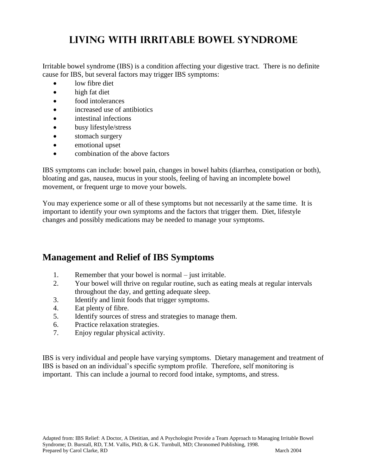# **Living With Irritable Bowel Syndrome**

Irritable bowel syndrome (IBS) is a condition affecting your digestive tract. There is no definite cause for IBS, but several factors may trigger IBS symptoms:

- low fibre diet
- high fat diet
- food intolerances
- increased use of antibiotics
- intestinal infections
- busy lifestyle/stress
- stomach surgery
- emotional upset
- combination of the above factors

IBS symptoms can include: bowel pain, changes in bowel habits (diarrhea, constipation or both), bloating and gas, nausea, mucus in your stools, feeling of having an incomplete bowel movement, or frequent urge to move your bowels.

You may experience some or all of these symptoms but not necessarily at the same time. It is important to identify your own symptoms and the factors that trigger them. Diet, lifestyle changes and possibly medications may be needed to manage your symptoms.

## **Management and Relief of IBS Symptoms**

- 1. Remember that your bowel is normal just irritable.
- 2. Your bowel will thrive on regular routine, such as eating meals at regular intervals throughout the day, and getting adequate sleep.
- 3. Identify and limit foods that trigger symptoms.
- 4. Eat plenty of fibre.
- 5. Identify sources of stress and strategies to manage them.
- 6. Practice relaxation strategies.
- 7. Enjoy regular physical activity.

IBS is very individual and people have varying symptoms. Dietary management and treatment of IBS is based on an individual's specific symptom profile. Therefore, self monitoring is important. This can include a journal to record food intake, symptoms, and stress.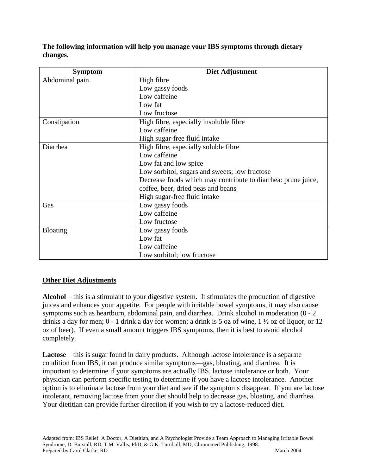**The following information will help you manage your IBS symptoms through dietary changes.**

| <b>Symptom</b>  | Diet Adjustment                                               |  |  |
|-----------------|---------------------------------------------------------------|--|--|
| Abdominal pain  | High fibre                                                    |  |  |
|                 | Low gassy foods                                               |  |  |
|                 | Low caffeine                                                  |  |  |
|                 | Low fat                                                       |  |  |
|                 | Low fructose                                                  |  |  |
| Constipation    | High fibre, especially insoluble fibre                        |  |  |
|                 | Low caffeine                                                  |  |  |
|                 | High sugar-free fluid intake                                  |  |  |
| Diarrhea        | High fibre, especially soluble fibre                          |  |  |
|                 | Low caffeine                                                  |  |  |
|                 | Low fat and low spice                                         |  |  |
|                 | Low sorbitol, sugars and sweets; low fructose                 |  |  |
|                 | Decrease foods which may contribute to diarrhea: prune juice, |  |  |
|                 | coffee, beer, dried peas and beans                            |  |  |
|                 | High sugar-free fluid intake                                  |  |  |
| Gas             | Low gassy foods                                               |  |  |
|                 | Low caffeine                                                  |  |  |
|                 | Low fructose                                                  |  |  |
| <b>Bloating</b> | Low gassy foods                                               |  |  |
|                 | Low fat                                                       |  |  |
|                 | Low caffeine                                                  |  |  |
|                 | Low sorbitol; low fructose                                    |  |  |

#### **Other Diet Adjustments**

**Alcohol** – this is a stimulant to your digestive system. It stimulates the production of digestive juices and enhances your appetite. For people with irritable bowel symptoms, it may also cause symptoms such as heartburn, abdominal pain, and diarrhea. Drink alcohol in moderation (0 - 2 drinks a day for men; 0 - 1 drink a day for women; a drink is 5 oz of wine, 1 ½ oz of liquor, or 12 oz of beer). If even a small amount triggers IBS symptoms, then it is best to avoid alcohol completely.

**Lactose** – this is sugar found in dairy products. Although lactose intolerance is a separate condition from IBS, it can produce similar symptoms—gas, bloating, and diarrhea. It is important to determine if your symptoms are actually IBS, lactose intolerance or both. Your physician can perform specific testing to determine if you have a lactose intolerance. Another option is to eliminate lactose from your diet and see if the symptoms disappear. If you are lactose intolerant, removing lactose from your diet should help to decrease gas, bloating, and diarrhea. Your dietitian can provide further direction if you wish to try a lactose-reduced diet.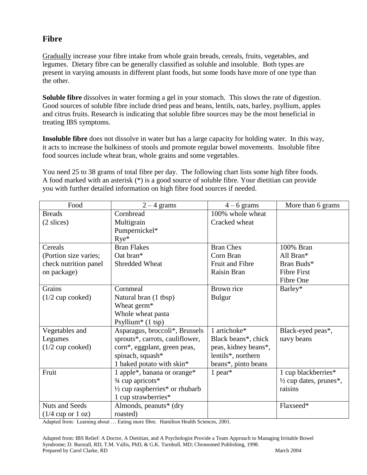### **Fibre**

Gradually increase your fibre intake from whole grain breads, cereals, fruits, vegetables, and legumes. Dietary fibre can be generally classified as soluble and insoluble. Both types are present in varying amounts in different plant foods, but some foods have more of one type than the other.

**Soluble fibre** dissolves in water forming a gel in your stomach. This slows the rate of digestion. Good sources of soluble fibre include dried peas and beans, lentils, oats, barley, psyllium, apples and citrus fruits. Research is indicating that soluble fibre sources may be the most beneficial in treating IBS symptoms.

**Insoluble fibre** does not dissolve in water but has a large capacity for holding water. In this way, it acts to increase the bulkiness of stools and promote regular bowel movements. Insoluble fibre food sources include wheat bran, whole grains and some vegetables.

You need 25 to 38 grams of total fibre per day. The following chart lists some high fibre foods. A food marked with an asterisk (\*) is a good source of soluble fibre. Your dietitian can provide you with further detailed information on high fibre food sources if needed.

| Food                  | $2 - 4$ grams                                         | $4 - 6$ grams        | More than 6 grams                 |
|-----------------------|-------------------------------------------------------|----------------------|-----------------------------------|
| <b>Breads</b>         | Cornbread                                             | 100% whole wheat     |                                   |
| $(2 \text{ slices})$  | Multigrain                                            | Cracked wheat        |                                   |
|                       | Pumpernickel*                                         |                      |                                   |
|                       | $Rye^*$                                               |                      |                                   |
| Cereals               | <b>Bran Flakes</b>                                    | <b>Bran Chex</b>     | 100% Bran                         |
| (Portion size varies; | Oat bran*                                             | Corn Bran            | All Bran*                         |
| check nutrition panel | Shredded Wheat                                        | Fruit and Fibre      | Bran Buds*                        |
| on package)           |                                                       | Raisin Bran          | <b>Fibre First</b>                |
|                       |                                                       |                      | Fibre One                         |
| Grains                | Cornmeal                                              | Brown rice           | Barley*                           |
| $(1/2$ cup cooked)    | Natural bran (1 tbsp)                                 | <b>Bulgur</b>        |                                   |
|                       | Wheat germ <sup>*</sup>                               |                      |                                   |
|                       | Whole wheat pasta                                     |                      |                                   |
|                       | Psyllium <sup>*</sup> $(1$ tsp)                       |                      |                                   |
| Vegetables and        | Asparagus, broccoli*, Brussels                        | 1 artichoke*         | Black-eyed peas*,                 |
| Legumes               | sprouts*, carrots, cauliflower,                       | Black beans*, chick  | navy beans                        |
| $(1/2$ cup cooked)    | corn*, eggplant, green peas,                          | peas, kidney beans*, |                                   |
|                       | spinach, squash*                                      | lentils*, northern   |                                   |
|                       | 1 baked potato with skin*                             | beans*, pinto beans  |                                   |
| Fruit                 | 1 apple*, banana or orange*                           | 1 pear $*$           | 1 cup blackberries*               |
|                       | $\frac{3}{4}$ cup apricots*                           |                      | $\frac{1}{2}$ cup dates, prunes*, |
|                       | $\frac{1}{2}$ cup raspberries <sup>*</sup> or rhubarb |                      | raisins                           |
|                       | 1 cup strawberries*                                   |                      |                                   |
| <b>Nuts and Seeds</b> | Almonds, peanuts* (dry                                |                      | Flaxseed*                         |
| $(1/4$ cup or 1 oz)   | roasted)                                              |                      |                                   |

Adapted from: Learning about … Eating more fibre. Hamilton Health Sciences, 2001.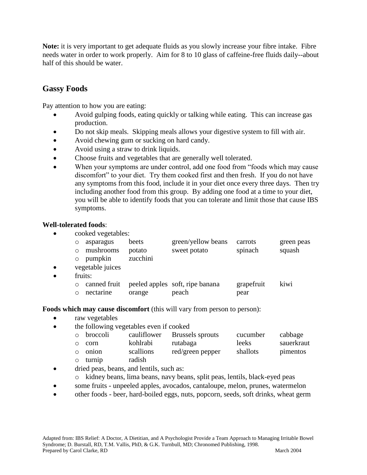**Note:** it is very important to get adequate fluids as you slowly increase your fibre intake. Fibre needs water in order to work properly. Aim for 8 to 10 glass of caffeine-free fluids daily--about half of this should be water.

#### **Gassy Foods**

Pay attention to how you are eating:

- Avoid gulping foods, eating quickly or talking while eating. This can increase gas production.
- Do not skip meals. Skipping meals allows your digestive system to fill with air.
- Avoid chewing gum or sucking on hard candy.
- Avoid using a straw to drink liquids.
- Choose fruits and vegetables that are generally well tolerated.
- When your symptoms are under control, add one food from "foods which may cause discomfort" to your diet. Try them cooked first and then fresh. If you do not have any symptoms from this food, include it in your diet once every three days. Then try including another food from this group. By adding one food at a time to your diet, you will be able to identify foods that you can tolerate and limit those that cause IBS symptoms.

#### **Well-tolerated foods**:

• cooked vegetables:

| o asparagus     | beets    | green/yellow beans | carrots | green peas |
|-----------------|----------|--------------------|---------|------------|
| o mushrooms     | potato   | sweet potato       | spinach | squash     |
| $\circ$ pumpkin | zucchini |                    |         |            |

- vegetable juices
- fruits:

|             |        | o canned fruit peeled apples soft, ripe banana | grapefruit | kiwi |
|-------------|--------|------------------------------------------------|------------|------|
| o nectarine | orange | peach                                          | pear       |      |

**Foods which may cause discomfort** (this will vary from person to person):

- raw vegetables
- the following vegetables even if cooked

| o broccoli    | cauliflower | Brussels sprouts | cucumber | cabbage    |
|---------------|-------------|------------------|----------|------------|
| o corn        | kohlrabi    | rutabaga         | leeks    | sauerkraut |
| $\circ$ onion | scallions   | red/green pepper | shallots | pimentos   |

- o turnip radish
- dried peas, beans, and lentils, such as:
	- o kidney beans, lima beans, navy beans, split peas, lentils, black-eyed peas
- some fruits unpeeled apples, avocados, cantaloupe, melon, prunes, watermelon
- other foods beer, hard-boiled eggs, nuts, popcorn, seeds, soft drinks, wheat germ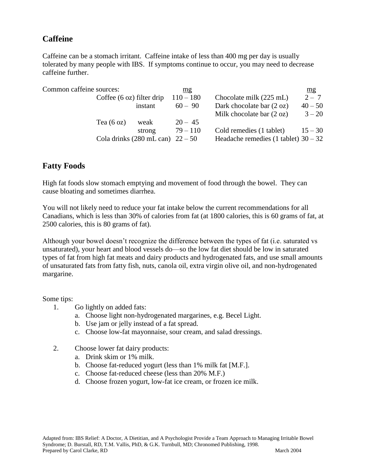### **Caffeine**

Caffeine can be a stomach irritant. Caffeine intake of less than 400 mg per day is usually tolerated by many people with IBS. If symptoms continue to occur, you may need to decrease caffeine further.

| Common caffeine sources: |                                     |                                              | mg          |                                        | mg        |
|--------------------------|-------------------------------------|----------------------------------------------|-------------|----------------------------------------|-----------|
|                          | Coffee $(6 \text{ oz})$ filter drip |                                              | $110 - 180$ | Chocolate milk (225 mL)                | $2 - 7$   |
|                          |                                     | instant                                      | $60 - 90$   | Dark chocolate bar (2 oz)              | $40 - 50$ |
|                          |                                     |                                              |             | Milk chocolate bar $(2 oz)$            | $3 - 20$  |
|                          | Tea $(6 \text{ oz})$                | weak                                         | $20 - 45$   |                                        |           |
|                          |                                     | strong                                       | $79 - 110$  | Cold remedies (1 tablet)               | $15 - 30$ |
|                          |                                     | Cola drinks $(280 \text{ mL can})$ $22 - 50$ |             | Headache remedies (1 tablet) $30 - 32$ |           |
|                          |                                     |                                              |             |                                        |           |

### **Fatty Foods**

High fat foods slow stomach emptying and movement of food through the bowel. They can cause bloating and sometimes diarrhea.

You will not likely need to reduce your fat intake below the current recommendations for all Canadians, which is less than 30% of calories from fat (at 1800 calories, this is 60 grams of fat, at 2500 calories, this is 80 grams of fat).

Although your bowel doesn't recognize the difference between the types of fat (i.e. saturated vs unsaturated), your heart and blood vessels do—so the low fat diet should be low in saturated types of fat from high fat meats and dairy products and hydrogenated fats, and use small amounts of unsaturated fats from fatty fish, nuts, canola oil, extra virgin olive oil, and non-hydrogenated margarine.

Some tips:

- 1. Go lightly on added fats:
	- a. Choose light non-hydrogenated margarines, e.g. Becel Light.
	- b. Use jam or jelly instead of a fat spread.
	- c. Choose low-fat mayonnaise, sour cream, and salad dressings.
- 2. Choose lower fat dairy products:
	- a. Drink skim or 1% milk.
	- b. Choose fat-reduced yogurt (less than 1% milk fat [M.F.].
	- c. Choose fat-reduced cheese (less than 20% M.F.)
	- d. Choose frozen yogurt, low-fat ice cream, or frozen ice milk.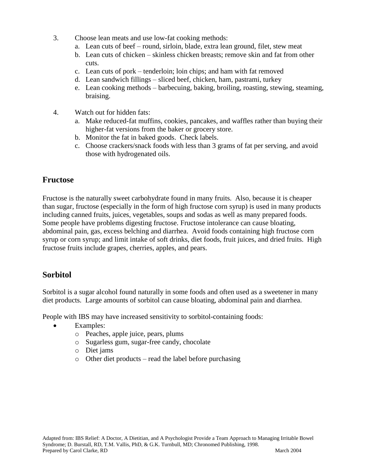- 3. Choose lean meats and use low-fat cooking methods:
	- a. Lean cuts of beef round, sirloin, blade, extra lean ground, filet, stew meat
	- b. Lean cuts of chicken skinless chicken breasts; remove skin and fat from other cuts.
	- c. Lean cuts of pork tenderloin; loin chips; and ham with fat removed
	- d. Lean sandwich fillings sliced beef, chicken, ham, pastrami, turkey
	- e. Lean cooking methods barbecuing, baking, broiling, roasting, stewing, steaming, braising.
- 4. Watch out for hidden fats:
	- a. Make reduced-fat muffins, cookies, pancakes, and waffles rather than buying their higher-fat versions from the baker or grocery store.
	- b. Monitor the fat in baked goods. Check labels.
	- c. Choose crackers/snack foods with less than 3 grams of fat per serving, and avoid those with hydrogenated oils.

### **Fructose**

Fructose is the naturally sweet carbohydrate found in many fruits. Also, because it is cheaper than sugar, fructose (especially in the form of high fructose corn syrup) is used in many products including canned fruits, juices, vegetables, soups and sodas as well as many prepared foods. Some people have problems digesting fructose. Fructose intolerance can cause bloating, abdominal pain, gas, excess belching and diarrhea. Avoid foods containing high fructose corn syrup or corn syrup; and limit intake of soft drinks, diet foods, fruit juices, and dried fruits. High fructose fruits include grapes, cherries, apples, and pears.

### **Sorbitol**

Sorbitol is a sugar alcohol found naturally in some foods and often used as a sweetener in many diet products. Large amounts of sorbitol can cause bloating, abdominal pain and diarrhea.

People with IBS may have increased sensitivity to sorbitol-containing foods:

- Examples:
	- o Peaches, apple juice, pears, plums
	- o Sugarless gum, sugar-free candy, chocolate
	- o Diet jams
	- o Other diet products read the label before purchasing